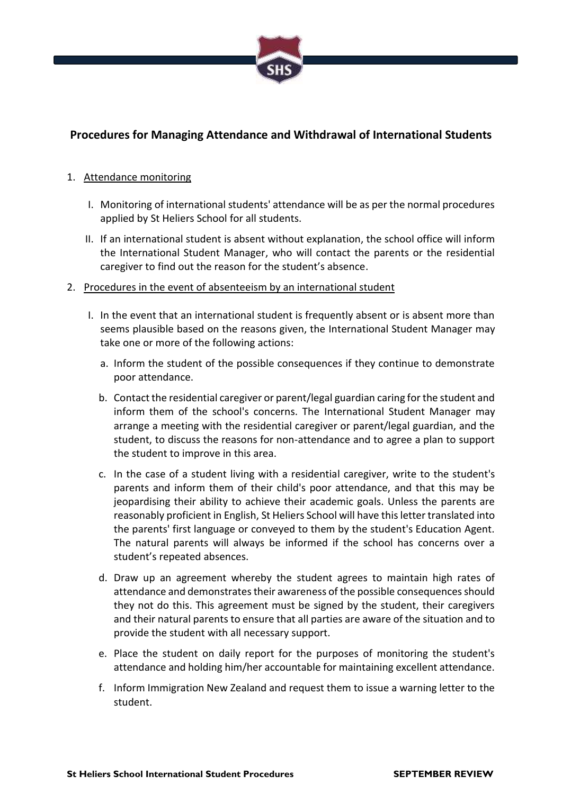

# **Procedures for Managing Attendance and Withdrawal of International Students**

## 1. Attendance monitoring

- I. Monitoring of international students' attendance will be as per the normal procedures applied by St Heliers School for all students.
- II. If an international student is absent without explanation, the school office will inform the International Student Manager, who will contact the parents or the residential caregiver to find out the reason for the student's absence.
- 2. Procedures in the event of absenteeism by an international student
	- I. In the event that an international student is frequently absent or is absent more than seems plausible based on the reasons given, the International Student Manager may take one or more of the following actions:
		- a. Inform the student of the possible consequences if they continue to demonstrate poor attendance.
		- b. Contact the residential caregiver or parent/legal guardian caring for the student and inform them of the school's concerns. The International Student Manager may arrange a meeting with the residential caregiver or parent/legal guardian, and the student, to discuss the reasons for non-attendance and to agree a plan to support the student to improve in this area.
		- c. In the case of a student living with a residential caregiver, write to the student's parents and inform them of their child's poor attendance, and that this may be jeopardising their ability to achieve their academic goals. Unless the parents are reasonably proficient in English, St Heliers School will have this letter translated into the parents' first language or conveyed to them by the student's Education Agent. The natural parents will always be informed if the school has concerns over a student's repeated absences.
		- d. Draw up an agreement whereby the student agrees to maintain high rates of attendance and demonstrates their awareness of the possible consequences should they not do this. This agreement must be signed by the student, their caregivers and their natural parents to ensure that all parties are aware of the situation and to provide the student with all necessary support.
		- e. Place the student on daily report for the purposes of monitoring the student's attendance and holding him/her accountable for maintaining excellent attendance.
		- f. Inform Immigration New Zealand and request them to issue a warning letter to the student.